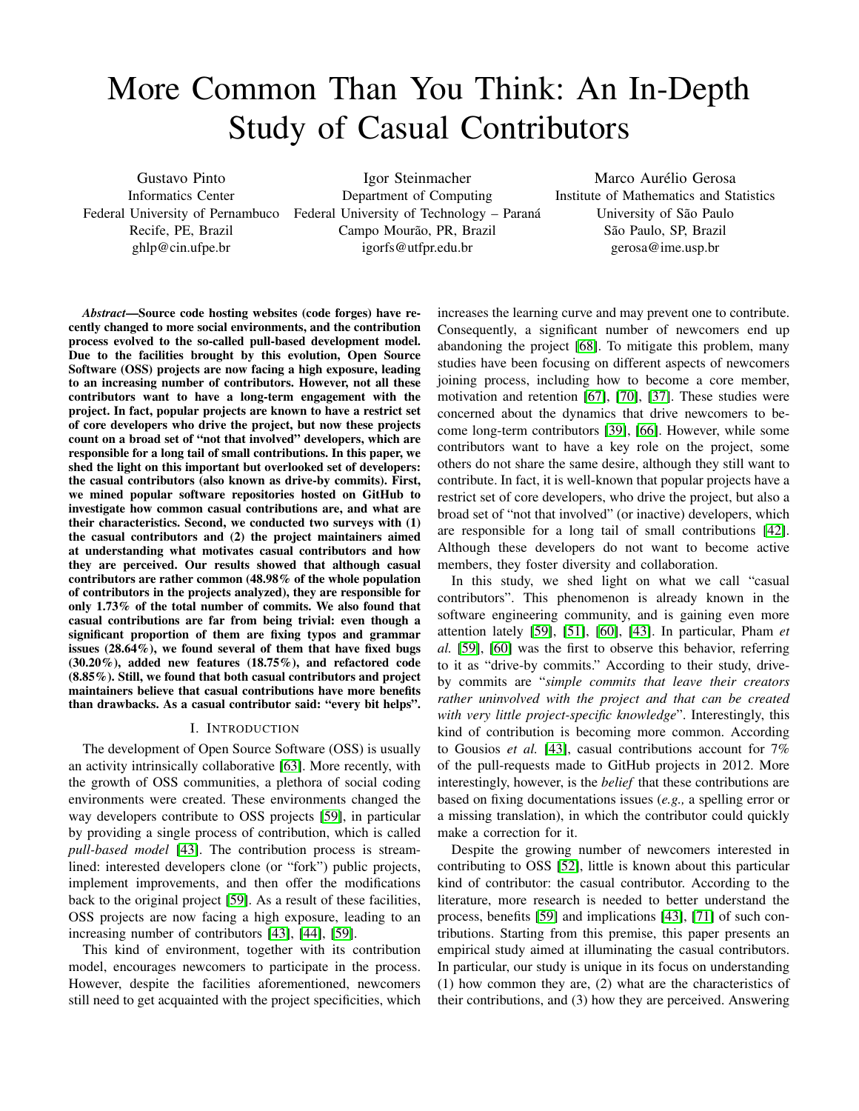# More Common Than You Think: An In-Depth Study of Casual Contributors

Gustavo Pinto Informatics Center Recife, PE, Brazil ghlp@cin.ufpe.br

Federal University of Pernambuco Federal University of Technology - Paraná Igor Steinmacher Department of Computing Campo Mourão, PR, Brazil igorfs@utfpr.edu.br

Marco Aurélio Gerosa Institute of Mathematics and Statistics University of São Paulo São Paulo, SP, Brazil gerosa@ime.usp.br

*Abstract*—Source code hosting websites (code forges) have recently changed to more social environments, and the contribution process evolved to the so-called pull-based development model. Due to the facilities brought by this evolution, Open Source Software (OSS) projects are now facing a high exposure, leading to an increasing number of contributors. However, not all these contributors want to have a long-term engagement with the project. In fact, popular projects are known to have a restrict set of core developers who drive the project, but now these projects count on a broad set of "not that involved" developers, which are responsible for a long tail of small contributions. In this paper, we shed the light on this important but overlooked set of developers: the casual contributors (also known as drive-by commits). First, we mined popular software repositories hosted on GitHub to investigate how common casual contributions are, and what are their characteristics. Second, we conducted two surveys with (1) the casual contributors and (2) the project maintainers aimed at understanding what motivates casual contributors and how they are perceived. Our results showed that although casual contributors are rather common (48.98% of the whole population of contributors in the projects analyzed), they are responsible for only 1.73% of the total number of commits. We also found that casual contributions are far from being trivial: even though a significant proportion of them are fixing typos and grammar issues (28.64%), we found several of them that have fixed bugs (30.20%), added new features (18.75%), and refactored code (8.85%). Still, we found that both casual contributors and project maintainers believe that casual contributions have more benefits than drawbacks. As a casual contributor said: "every bit helps".

### I. INTRODUCTION

The development of Open Source Software (OSS) is usually an activity intrinsically collaborative [\[63\]](#page-11-0). More recently, with the growth of OSS communities, a plethora of social coding environments were created. These environments changed the way developers contribute to OSS projects [\[59\]](#page-11-1), in particular by providing a single process of contribution, which is called *pull-based model* [\[43\]](#page-10-0). The contribution process is streamlined: interested developers clone (or "fork") public projects, implement improvements, and then offer the modifications back to the original project [\[59\]](#page-11-1). As a result of these facilities, OSS projects are now facing a high exposure, leading to an increasing number of contributors [\[43\]](#page-10-0), [\[44\]](#page-10-1), [\[59\]](#page-11-1).

This kind of environment, together with its contribution model, encourages newcomers to participate in the process. However, despite the facilities aforementioned, newcomers still need to get acquainted with the project specificities, which increases the learning curve and may prevent one to contribute. Consequently, a significant number of newcomers end up abandoning the project [\[68\]](#page-11-2). To mitigate this problem, many studies have been focusing on different aspects of newcomers joining process, including how to become a core member, motivation and retention [\[67\]](#page-11-3), [\[70\]](#page-11-4), [\[37\]](#page-10-2). These studies were concerned about the dynamics that drive newcomers to become long-term contributors [\[39\]](#page-10-3), [\[66\]](#page-11-5). However, while some contributors want to have a key role on the project, some others do not share the same desire, although they still want to contribute. In fact, it is well-known that popular projects have a restrict set of core developers, who drive the project, but also a broad set of "not that involved" (or inactive) developers, which are responsible for a long tail of small contributions [\[42\]](#page-10-4). Although these developers do not want to become active members, they foster diversity and collaboration.

In this study, we shed light on what we call "casual contributors". This phenomenon is already known in the software engineering community, and is gaining even more attention lately [\[59\]](#page-11-1), [\[51\]](#page-10-5), [\[60\]](#page-11-6), [\[43\]](#page-10-0). In particular, Pham *et al.* [\[59\]](#page-11-1), [\[60\]](#page-11-6) was the first to observe this behavior, referring to it as "drive-by commits." According to their study, driveby commits are "*simple commits that leave their creators rather uninvolved with the project and that can be created with very little project-specific knowledge*". Interestingly, this kind of contribution is becoming more common. According to Gousios *et al.* [\[43\]](#page-10-0), casual contributions account for 7% of the pull-requests made to GitHub projects in 2012. More interestingly, however, is the *belief* that these contributions are based on fixing documentations issues (*e.g.,* a spelling error or a missing translation), in which the contributor could quickly make a correction for it.

Despite the growing number of newcomers interested in contributing to OSS [\[52\]](#page-10-6), little is known about this particular kind of contributor: the casual contributor. According to the literature, more research is needed to better understand the process, benefits [\[59\]](#page-11-1) and implications [\[43\]](#page-10-0), [\[71\]](#page-11-7) of such contributions. Starting from this premise, this paper presents an empirical study aimed at illuminating the casual contributors. In particular, our study is unique in its focus on understanding (1) how common they are, (2) what are the characteristics of their contributions, and (3) how they are perceived. Answering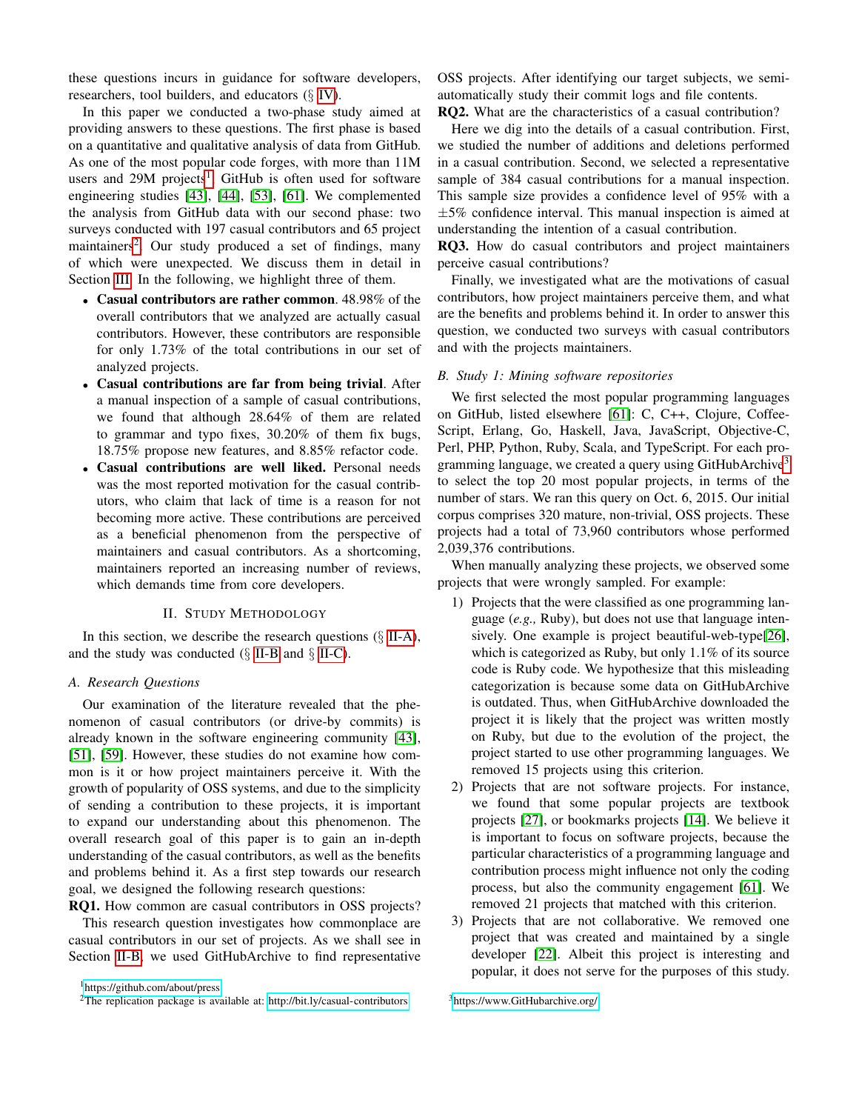these questions incurs in guidance for software developers, researchers, tool builders, and educators  $(\S$  [IV\)](#page-8-0).

In this paper we conducted a two-phase study aimed at providing answers to these questions. The first phase is based on a quantitative and qualitative analysis of data from GitHub. As one of the most popular code forges, with more than 11M users and 29M projects<sup>[1](#page-1-0)</sup>, GitHub is often used for software engineering studies [\[43\]](#page-10-0), [\[44\]](#page-10-1), [\[53\]](#page-10-7), [\[61\]](#page-11-8). We complemented the analysis from GitHub data with our second phase: two surveys conducted with 197 casual contributors and 65 project maintainers<sup>[2](#page-1-1)</sup>. Our study produced a set of findings, many of which were unexpected. We discuss them in detail in Section [III.](#page-3-0) In the following, we highlight three of them.

- Casual contributors are rather common. 48.98% of the overall contributors that we analyzed are actually casual contributors. However, these contributors are responsible for only 1.73% of the total contributions in our set of analyzed projects.
- Casual contributions are far from being trivial. After a manual inspection of a sample of casual contributions, we found that although 28.64% of them are related to grammar and typo fixes, 30.20% of them fix bugs, 18.75% propose new features, and 8.85% refactor code.
- Casual contributions are well liked. Personal needs was the most reported motivation for the casual contributors, who claim that lack of time is a reason for not becoming more active. These contributions are perceived as a beneficial phenomenon from the perspective of maintainers and casual contributors. As a shortcoming, maintainers reported an increasing number of reviews, which demands time from core developers.

### II. STUDY METHODOLOGY

In this section, we describe the research questions  $(\S$  [II-A\)](#page-1-2), and the study was conducted  $(\S$  [II-B](#page-1-3) and  $\S$  [II-C\)](#page-2-0).

## <span id="page-1-2"></span>*A. Research Questions*

Our examination of the literature revealed that the phenomenon of casual contributors (or drive-by commits) is already known in the software engineering community [\[43\]](#page-10-0), [\[51\]](#page-10-5), [\[59\]](#page-11-1). However, these studies do not examine how common is it or how project maintainers perceive it. With the growth of popularity of OSS systems, and due to the simplicity of sending a contribution to these projects, it is important to expand our understanding about this phenomenon. The overall research goal of this paper is to gain an in-depth understanding of the casual contributors, as well as the benefits and problems behind it. As a first step towards our research goal, we designed the following research questions:

RQ1. How common are casual contributors in OSS projects? This research question investigates how commonplace are casual contributors in our set of projects. As we shall see in Section [II-B,](#page-1-3) we used GitHubArchive to find representative OSS projects. After identifying our target subjects, we semiautomatically study their commit logs and file contents.

RQ2. What are the characteristics of a casual contribution?

Here we dig into the details of a casual contribution. First, we studied the number of additions and deletions performed in a casual contribution. Second, we selected a representative sample of 384 casual contributions for a manual inspection. This sample size provides a confidence level of 95% with a  $\pm$ 5% confidence interval. This manual inspection is aimed at understanding the intention of a casual contribution.

RQ3. How do casual contributors and project maintainers perceive casual contributions?

Finally, we investigated what are the motivations of casual contributors, how project maintainers perceive them, and what are the benefits and problems behind it. In order to answer this question, we conducted two surveys with casual contributors and with the projects maintainers.

# <span id="page-1-3"></span>*B. Study 1: Mining software repositories*

We first selected the most popular programming languages on GitHub, listed elsewhere [\[61\]](#page-11-8): C, C++, Clojure, Coffee-Script, Erlang, Go, Haskell, Java, JavaScript, Objective-C, Perl, PHP, Python, Ruby, Scala, and TypeScript. For each programming language, we created a query using  $G$ itHubArchive<sup>[3](#page-1-4)</sup> to select the top 20 most popular projects, in terms of the number of stars. We ran this query on Oct. 6, 2015. Our initial corpus comprises 320 mature, non-trivial, OSS projects. These projects had a total of 73,960 contributors whose performed 2,039,376 contributions.

When manually analyzing these projects, we observed some projects that were wrongly sampled. For example:

- 1) Projects that the were classified as one programming language (*e.g.,* Ruby), but does not use that language intensively. One example is project beautiful-web-type[\[26\]](#page-10-8), which is categorized as Ruby, but only 1.1% of its source code is Ruby code. We hypothesize that this misleading categorization is because some data on GitHubArchive is outdated. Thus, when GitHubArchive downloaded the project it is likely that the project was written mostly on Ruby, but due to the evolution of the project, the project started to use other programming languages. We removed 15 projects using this criterion.
- 2) Projects that are not software projects. For instance, we found that some popular projects are textbook projects [\[27\]](#page-10-9), or bookmarks projects [\[14\]](#page-10-10). We believe it is important to focus on software projects, because the particular characteristics of a programming language and contribution process might influence not only the coding process, but also the community engagement [\[61\]](#page-11-8). We removed 21 projects that matched with this criterion.
- 3) Projects that are not collaborative. We removed one project that was created and maintained by a single developer [\[22\]](#page-10-11). Albeit this project is interesting and popular, it does not serve for the purposes of this study.

<span id="page-1-0"></span><sup>1</sup><https://github.com/about/press>

<span id="page-1-1"></span><sup>&</sup>lt;sup>2</sup>The replication package is available at:<http://bit.ly/casual-contributors>

<span id="page-1-4"></span><sup>3</sup><https://www.GitHubarchive.org/>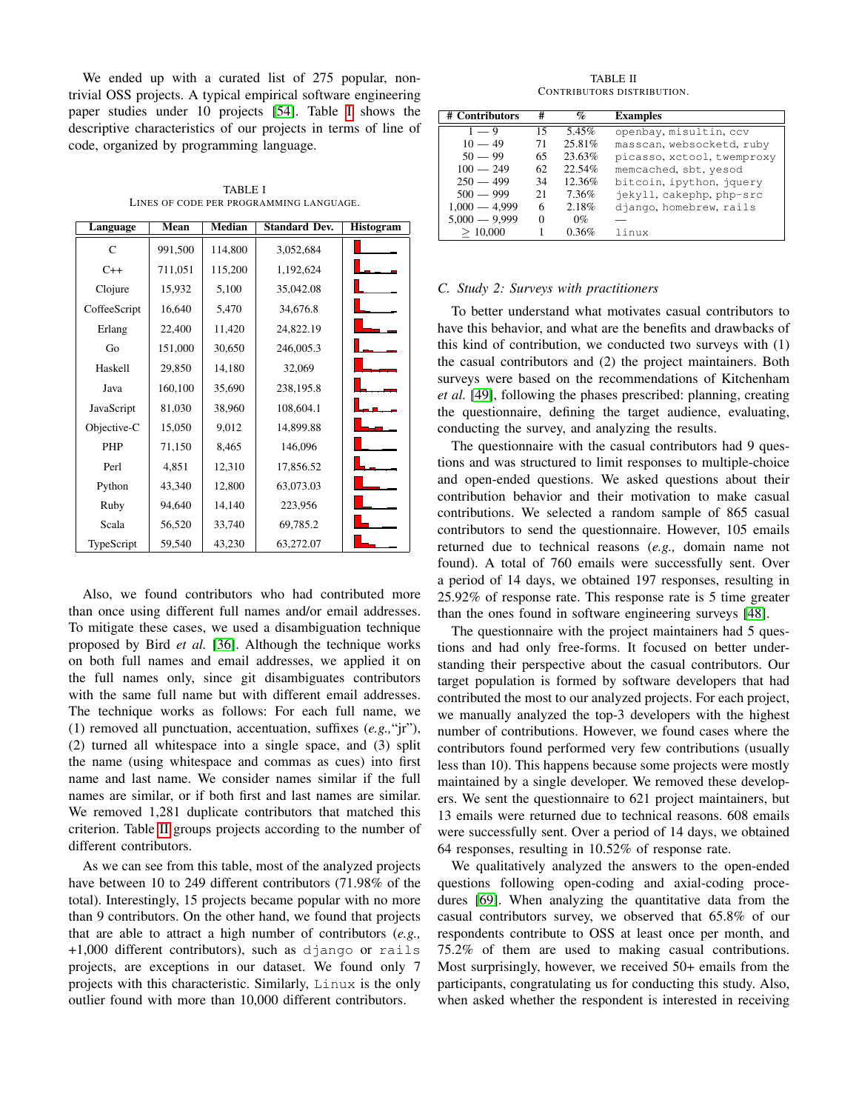We ended up with a curated list of 275 popular, nontrivial OSS projects. A typical empirical software engineering paper studies under 10 projects [\[54\]](#page-11-9). Table [I](#page-2-1) shows the descriptive characteristics of our projects in terms of line of code, organized by programming language.

TABLE I LINES OF CODE PER PROGRAMMING LANGUAGE.

<span id="page-2-1"></span>

| Language     | Mean    | <b>Median</b><br><b>Standard Dev.</b> |           | <b>Histogram</b> |
|--------------|---------|---------------------------------------|-----------|------------------|
| C            | 991,500 | 114,800                               | 3,052,684 |                  |
| $C++$        | 711,051 | 115,200                               | 1,192,624 |                  |
| Clojure      | 15,932  | 5,100                                 | 35,042.08 |                  |
| CoffeeScript | 16,640  | 5,470                                 | 34,676.8  |                  |
| Erlang       | 22,400  | 11,420                                | 24,822.19 |                  |
| Go           | 151,000 | 30,650                                | 246,005.3 |                  |
| Haskell      | 29,850  | 14,180                                | 32,069    |                  |
| Java         | 160,100 | 35,690                                | 238,195.8 |                  |
| JavaScript   | 81,030  | 38,960                                | 108,604.1 |                  |
| Objective-C  | 15,050  | 9,012                                 | 14,899.88 |                  |
| <b>PHP</b>   | 71,150  | 8,465                                 | 146,096   |                  |
| Perl         | 4,851   | 12,310                                | 17,856.52 |                  |
| Python       | 43,340  | 12,800                                | 63,073.03 |                  |
| Ruby         | 94,640  | 14,140                                | 223,956   |                  |
| Scala        | 56,520  | 33,740                                | 69,785.2  |                  |
| TypeScript   | 59,540  | 43,230                                | 63,272.07 |                  |

Also, we found contributors who had contributed more than once using different full names and/or email addresses. To mitigate these cases, we used a disambiguation technique proposed by Bird *et al.* [\[36\]](#page-10-12). Although the technique works on both full names and email addresses, we applied it on the full names only, since git disambiguates contributors with the same full name but with different email addresses. The technique works as follows: For each full name, we (1) removed all punctuation, accentuation, suffixes (*e.g.,*"jr"), (2) turned all whitespace into a single space, and (3) split the name (using whitespace and commas as cues) into first name and last name. We consider names similar if the full names are similar, or if both first and last names are similar. We removed 1,281 duplicate contributors that matched this criterion. Table [II](#page-2-2) groups projects according to the number of different contributors.

As we can see from this table, most of the analyzed projects have between 10 to 249 different contributors (71.98% of the total). Interestingly, 15 projects became popular with no more than 9 contributors. On the other hand, we found that projects that are able to attract a high number of contributors (*e.g.,* +1,000 different contributors), such as django or rails projects, are exceptions in our dataset. We found only 7 projects with this characteristic. Similarly, Linux is the only outlier found with more than 10,000 different contributors.

TABLE II CONTRIBUTORS DISTRIBUTION.

<span id="page-2-2"></span>

| # Contributors  | #  | %      | <b>Examples</b>            |
|-----------------|----|--------|----------------------------|
| $1 - 9$         | 15 | 5.45%  | openbay, misultin, ccv     |
| $10 - 49$       | 71 | 25.81% | masscan, websocketd, ruby  |
| $50 - 99$       | 65 | 23.63% | picasso, xctool, twemproxy |
| $100 - 249$     | 62 | 22.54% | memcached, sbt, yesod      |
| $250 - 499$     | 34 | 12.36% | bitcoin, ipython, jquery   |
| $500 - 999$     | 21 | 7.36%  | jekyll, cakephp, php-src   |
| $1,000 - 4,999$ | 6  | 2.18%  | django, homebrew, rails    |
| $5.000 - 9.999$ |    | $0\%$  |                            |
| >10,000         |    | 0.36%  | linux                      |

### <span id="page-2-0"></span>*C. Study 2: Surveys with practitioners*

To better understand what motivates casual contributors to have this behavior, and what are the benefits and drawbacks of this kind of contribution, we conducted two surveys with (1) the casual contributors and (2) the project maintainers. Both surveys were based on the recommendations of Kitchenham *et al.* [\[49\]](#page-10-13), following the phases prescribed: planning, creating the questionnaire, defining the target audience, evaluating, conducting the survey, and analyzing the results.

The questionnaire with the casual contributors had 9 questions and was structured to limit responses to multiple-choice and open-ended questions. We asked questions about their contribution behavior and their motivation to make casual contributions. We selected a random sample of 865 casual contributors to send the questionnaire. However, 105 emails returned due to technical reasons (*e.g.,* domain name not found). A total of 760 emails were successfully sent. Over a period of 14 days, we obtained 197 responses, resulting in 25.92% of response rate. This response rate is 5 time greater than the ones found in software engineering surveys [\[48\]](#page-10-14).

The questionnaire with the project maintainers had 5 questions and had only free-forms. It focused on better understanding their perspective about the casual contributors. Our target population is formed by software developers that had contributed the most to our analyzed projects. For each project, we manually analyzed the top-3 developers with the highest number of contributions. However, we found cases where the contributors found performed very few contributions (usually less than 10). This happens because some projects were mostly maintained by a single developer. We removed these developers. We sent the questionnaire to 621 project maintainers, but 13 emails were returned due to technical reasons. 608 emails were successfully sent. Over a period of 14 days, we obtained 64 responses, resulting in 10.52% of response rate.

We qualitatively analyzed the answers to the open-ended questions following open-coding and axial-coding procedures [\[69\]](#page-11-10). When analyzing the quantitative data from the casual contributors survey, we observed that 65.8% of our respondents contribute to OSS at least once per month, and 75.2% of them are used to making casual contributions. Most surprisingly, however, we received 50+ emails from the participants, congratulating us for conducting this study. Also, when asked whether the respondent is interested in receiving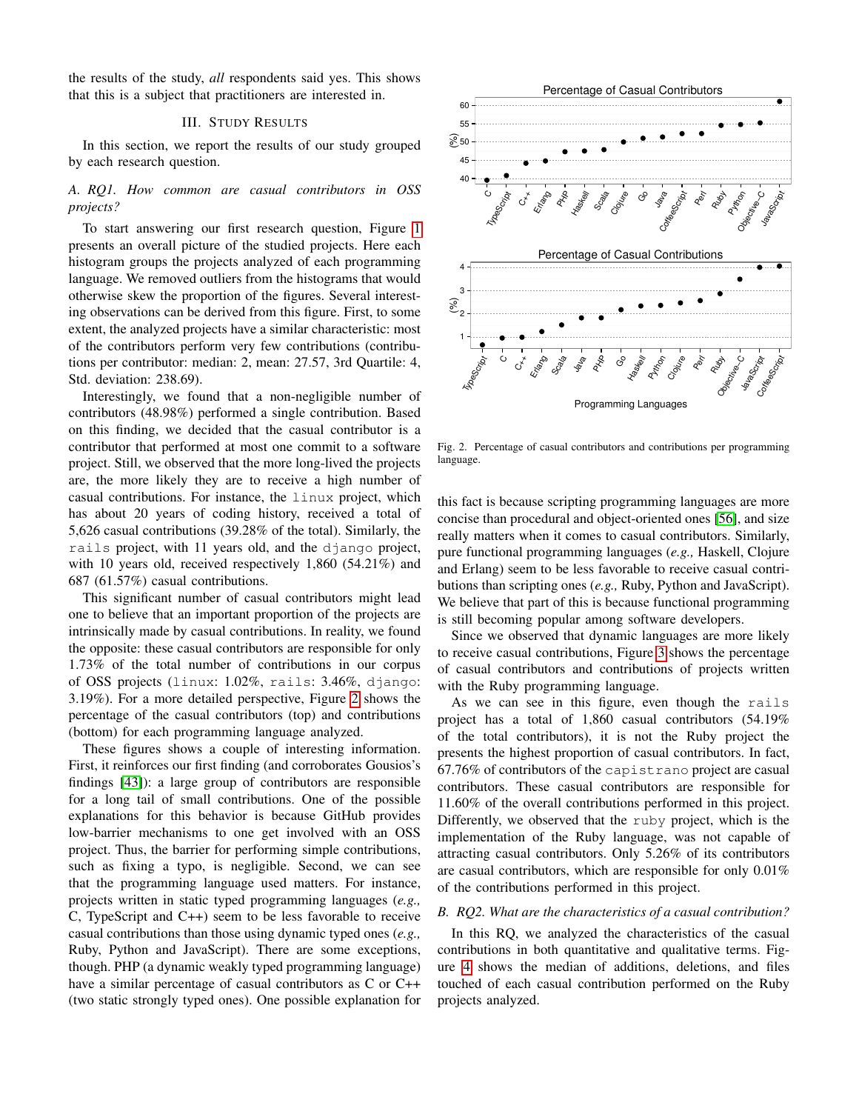the results of the study, *all* respondents said yes. This shows that this is a subject that practitioners are interested in.

## III. STUDY RESULTS

<span id="page-3-0"></span>In this section, we report the results of our study grouped by each research question.

*A. RQ1. How common are casual contributors in OSS projects?*

To start answering our first research question, Figure [1](#page-4-0) presents an overall picture of the studied projects. Here each histogram groups the projects analyzed of each programming language. We removed outliers from the histograms that would otherwise skew the proportion of the figures. Several interesting observations can be derived from this figure. First, to some extent, the analyzed projects have a similar characteristic: most of the contributors perform very few contributions (contributions per contributor: median: 2, mean: 27.57, 3rd Quartile: 4, Std. deviation: 238.69).

Interestingly, we found that a non-negligible number of contributors (48.98%) performed a single contribution. Based on this finding, we decided that the casual contributor is a contributor that performed at most one commit to a software project. Still, we observed that the more long-lived the projects are, the more likely they are to receive a high number of casual contributions. For instance, the linux project, which has about 20 years of coding history, received a total of 5,626 casual contributions (39.28% of the total). Similarly, the rails project, with 11 years old, and the django project, with 10 years old, received respectively 1,860 (54.21%) and 687 (61.57%) casual contributions.

This significant number of casual contributors might lead one to believe that an important proportion of the projects are intrinsically made by casual contributions. In reality, we found the opposite: these casual contributors are responsible for only 1.73% of the total number of contributions in our corpus of OSS projects (linux: 1.02%, rails: 3.46%, django: 3.19%). For a more detailed perspective, Figure [2](#page-3-1) shows the percentage of the casual contributors (top) and contributions (bottom) for each programming language analyzed.

These figures shows a couple of interesting information. First, it reinforces our first finding (and corroborates Gousios's findings [\[43\]](#page-10-0)): a large group of contributors are responsible for a long tail of small contributions. One of the possible explanations for this behavior is because GitHub provides low-barrier mechanisms to one get involved with an OSS project. Thus, the barrier for performing simple contributions, such as fixing a typo, is negligible. Second, we can see that the programming language used matters. For instance, projects written in static typed programming languages (*e.g.,* C, TypeScript and C++) seem to be less favorable to receive casual contributions than those using dynamic typed ones (*e.g.,* Ruby, Python and JavaScript). There are some exceptions, though. PHP (a dynamic weakly typed programming language) have a similar percentage of casual contributors as C or C++ (two static strongly typed ones). One possible explanation for



<span id="page-3-1"></span>Fig. 2. Percentage of casual contributors and contributions per programming language.

this fact is because scripting programming languages are more concise than procedural and object-oriented ones [\[56\]](#page-11-11), and size really matters when it comes to casual contributors. Similarly, pure functional programming languages (*e.g.,* Haskell, Clojure and Erlang) seem to be less favorable to receive casual contributions than scripting ones (*e.g.,* Ruby, Python and JavaScript). We believe that part of this is because functional programming is still becoming popular among software developers.

Since we observed that dynamic languages are more likely to receive casual contributions, Figure [3](#page-5-0) shows the percentage of casual contributors and contributions of projects written with the Ruby programming language.

As we can see in this figure, even though the rails project has a total of 1,860 casual contributors (54.19% of the total contributors), it is not the Ruby project the presents the highest proportion of casual contributors. In fact, 67.76% of contributors of the capistrano project are casual contributors. These casual contributors are responsible for 11.60% of the overall contributions performed in this project. Differently, we observed that the ruby project, which is the implementation of the Ruby language, was not capable of attracting casual contributors. Only 5.26% of its contributors are casual contributors, which are responsible for only 0.01% of the contributions performed in this project.

## *B. RQ2. What are the characteristics of a casual contribution?*

In this RQ, we analyzed the characteristics of the casual contributions in both quantitative and qualitative terms. Figure [4](#page-5-1) shows the median of additions, deletions, and files touched of each casual contribution performed on the Ruby projects analyzed.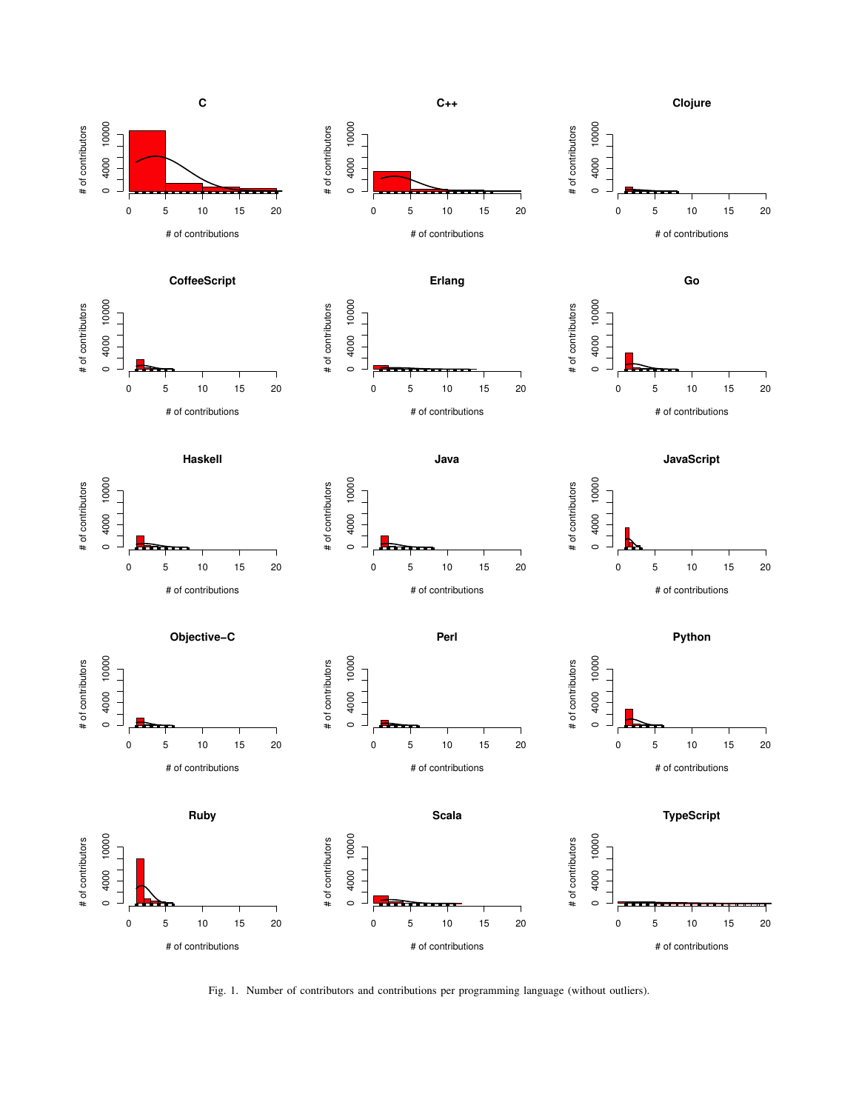

<span id="page-4-0"></span>Fig. 1. Number of contributors and contributions per programming language (without outliers).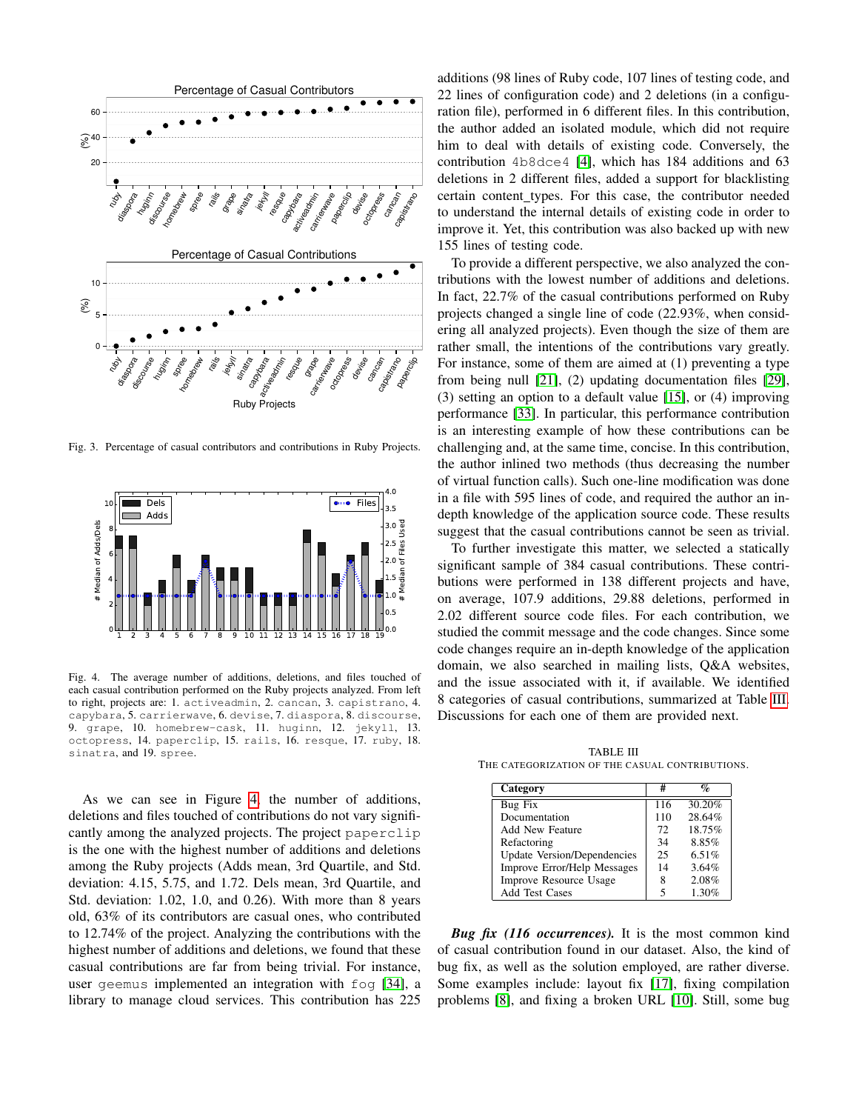

<span id="page-5-0"></span>Fig. 3. Percentage of casual contributors and contributions in Ruby Projects.



<span id="page-5-1"></span>Fig. 4. The average number of additions, deletions, and files touched of each casual contribution performed on the Ruby projects analyzed. From left to right, projects are: 1. activeadmin, 2. cancan, 3. capistrano, 4. capybara, 5. carrierwave, 6. devise, 7. diaspora, 8. discourse, 9. grape, 10. homebrew-cask, 11. huginn, 12. jekyll, 13. octopress, 14. paperclip, 15. rails, 16. resque, 17. ruby, 18. sinatra, and 19. spree.

As we can see in Figure [4,](#page-5-1) the number of additions, deletions and files touched of contributions do not vary significantly among the analyzed projects. The project paperclip is the one with the highest number of additions and deletions among the Ruby projects (Adds mean, 3rd Quartile, and Std. deviation: 4.15, 5.75, and 1.72. Dels mean, 3rd Quartile, and Std. deviation: 1.02, 1.0, and 0.26). With more than 8 years old, 63% of its contributors are casual ones, who contributed to 12.74% of the project. Analyzing the contributions with the highest number of additions and deletions, we found that these casual contributions are far from being trivial. For instance, user geemus implemented an integration with fog [\[34\]](#page-10-15), a library to manage cloud services. This contribution has 225

additions (98 lines of Ruby code, 107 lines of testing code, and 22 lines of configuration code) and 2 deletions (in a configuration file), performed in 6 different files. In this contribution, the author added an isolated module, which did not require him to deal with details of existing code. Conversely, the contribution 4b8dce4 [\[4\]](#page-10-16), which has 184 additions and 63 deletions in 2 different files, added a support for blacklisting certain content types. For this case, the contributor needed to understand the internal details of existing code in order to improve it. Yet, this contribution was also backed up with new 155 lines of testing code.

To provide a different perspective, we also analyzed the contributions with the lowest number of additions and deletions. In fact, 22.7% of the casual contributions performed on Ruby projects changed a single line of code (22.93%, when considering all analyzed projects). Even though the size of them are rather small, the intentions of the contributions vary greatly. For instance, some of them are aimed at (1) preventing a type from being null [\[21\]](#page-10-17), (2) updating documentation files [\[29\]](#page-10-18), (3) setting an option to a default value [\[15\]](#page-10-19), or (4) improving performance [\[33\]](#page-10-20). In particular, this performance contribution is an interesting example of how these contributions can be challenging and, at the same time, concise. In this contribution, the author inlined two methods (thus decreasing the number of virtual function calls). Such one-line modification was done in a file with 595 lines of code, and required the author an indepth knowledge of the application source code. These results suggest that the casual contributions cannot be seen as trivial.

To further investigate this matter, we selected a statically significant sample of 384 casual contributions. These contributions were performed in 138 different projects and have, on average, 107.9 additions, 29.88 deletions, performed in 2.02 different source code files. For each contribution, we studied the commit message and the code changes. Since some code changes require an in-depth knowledge of the application domain, we also searched in mailing lists, Q&A websites, and the issue associated with it, if available. We identified 8 categories of casual contributions, summarized at Table [III.](#page-5-2) Discussions for each one of them are provided next.

<span id="page-5-2"></span>TABLE III THE CATEGORIZATION OF THE CASUAL CONTRIBUTIONS.

| Category                           | #   | $\mathbf{q}_o$ |
|------------------------------------|-----|----------------|
| Bug Fix                            | 116 | 30.20%         |
| Documentation                      | 110 | 28.64%         |
| <b>Add New Feature</b>             | 72  | 18.75%         |
| Refactoring                        | 34  | 8.85%          |
| <b>Update Version/Dependencies</b> | 25  | 6.51%          |
| Improve Error/Help Messages        | 14  | 3.64%          |
| <b>Improve Resource Usage</b>      | 8   | 2.08%          |
| <b>Add Test Cases</b>              | 5   | 1.30%          |

*Bug fix (116 occurrences).* It is the most common kind of casual contribution found in our dataset. Also, the kind of bug fix, as well as the solution employed, are rather diverse. Some examples include: layout fix [\[17\]](#page-10-21), fixing compilation problems [\[8\]](#page-10-22), and fixing a broken URL [\[10\]](#page-10-23). Still, some bug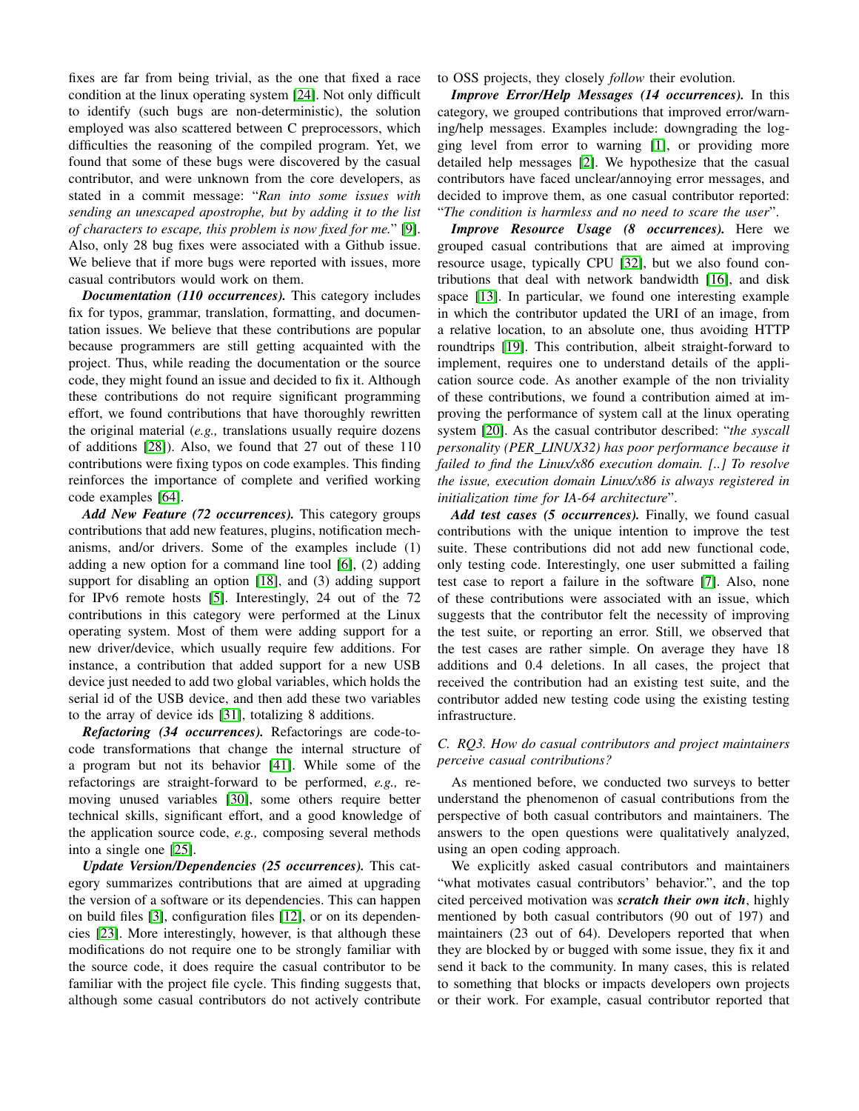fixes are far from being trivial, as the one that fixed a race condition at the linux operating system [\[24\]](#page-10-24). Not only difficult to identify (such bugs are non-deterministic), the solution employed was also scattered between C preprocessors, which difficulties the reasoning of the compiled program. Yet, we found that some of these bugs were discovered by the casual contributor, and were unknown from the core developers, as stated in a commit message: "*Ran into some issues with sending an unescaped apostrophe, but by adding it to the list of characters to escape, this problem is now fixed for me.*" [\[9\]](#page-10-25). Also, only 28 bug fixes were associated with a Github issue. We believe that if more bugs were reported with issues, more casual contributors would work on them.

*Documentation (110 occurrences).* This category includes fix for typos, grammar, translation, formatting, and documentation issues. We believe that these contributions are popular because programmers are still getting acquainted with the project. Thus, while reading the documentation or the source code, they might found an issue and decided to fix it. Although these contributions do not require significant programming effort, we found contributions that have thoroughly rewritten the original material (*e.g.,* translations usually require dozens of additions [\[28\]](#page-10-26)). Also, we found that 27 out of these 110 contributions were fixing typos on code examples. This finding reinforces the importance of complete and verified working code examples [\[64\]](#page-11-12).

*Add New Feature (72 occurrences).* This category groups contributions that add new features, plugins, notification mechanisms, and/or drivers. Some of the examples include (1) adding a new option for a command line tool [\[6\]](#page-10-27), (2) adding support for disabling an option [\[18\]](#page-10-28), and (3) adding support for IPv6 remote hosts [\[5\]](#page-10-29). Interestingly, 24 out of the 72 contributions in this category were performed at the Linux operating system. Most of them were adding support for a new driver/device, which usually require few additions. For instance, a contribution that added support for a new USB device just needed to add two global variables, which holds the serial id of the USB device, and then add these two variables to the array of device ids [\[31\]](#page-10-30), totalizing 8 additions.

*Refactoring (34 occurrences).* Refactorings are code-tocode transformations that change the internal structure of a program but not its behavior [\[41\]](#page-10-31). While some of the refactorings are straight-forward to be performed, *e.g.,* removing unused variables [\[30\]](#page-10-32), some others require better technical skills, significant effort, and a good knowledge of the application source code, *e.g.,* composing several methods into a single one [\[25\]](#page-10-33).

*Update Version/Dependencies (25 occurrences).* This category summarizes contributions that are aimed at upgrading the version of a software or its dependencies. This can happen on build files [\[3\]](#page-10-34), configuration files [\[12\]](#page-10-35), or on its dependencies [\[23\]](#page-10-36). More interestingly, however, is that although these modifications do not require one to be strongly familiar with the source code, it does require the casual contributor to be familiar with the project file cycle. This finding suggests that, although some casual contributors do not actively contribute to OSS projects, they closely *follow* their evolution.

*Improve Error/Help Messages (14 occurrences).* In this category, we grouped contributions that improved error/warning/help messages. Examples include: downgrading the logging level from error to warning [\[1\]](#page-10-37), or providing more detailed help messages [\[2\]](#page-10-38). We hypothesize that the casual contributors have faced unclear/annoying error messages, and decided to improve them, as one casual contributor reported: "*The condition is harmless and no need to scare the user*".

*Improve Resource Usage (8 occurrences).* Here we grouped casual contributions that are aimed at improving resource usage, typically CPU [\[32\]](#page-10-39), but we also found contributions that deal with network bandwidth [\[16\]](#page-10-40), and disk space [\[13\]](#page-10-41). In particular, we found one interesting example in which the contributor updated the URI of an image, from a relative location, to an absolute one, thus avoiding HTTP roundtrips [\[19\]](#page-10-42). This contribution, albeit straight-forward to implement, requires one to understand details of the application source code. As another example of the non triviality of these contributions, we found a contribution aimed at improving the performance of system call at the linux operating system [\[20\]](#page-10-43). As the casual contributor described: "*the syscall personality (PER LINUX32) has poor performance because it failed to find the Linux/x86 execution domain. [..] To resolve the issue, execution domain Linux/x86 is always registered in initialization time for IA-64 architecture*".

*Add test cases (5 occurrences).* Finally, we found casual contributions with the unique intention to improve the test suite. These contributions did not add new functional code, only testing code. Interestingly, one user submitted a failing test case to report a failure in the software [\[7\]](#page-10-44). Also, none of these contributions were associated with an issue, which suggests that the contributor felt the necessity of improving the test suite, or reporting an error. Still, we observed that the test cases are rather simple. On average they have 18 additions and 0.4 deletions. In all cases, the project that received the contribution had an existing test suite, and the contributor added new testing code using the existing testing infrastructure.

# *C. RQ3. How do casual contributors and project maintainers perceive casual contributions?*

As mentioned before, we conducted two surveys to better understand the phenomenon of casual contributions from the perspective of both casual contributors and maintainers. The answers to the open questions were qualitatively analyzed, using an open coding approach.

We explicitly asked casual contributors and maintainers "what motivates casual contributors' behavior.", and the top cited perceived motivation was *scratch their own itch*, highly mentioned by both casual contributors (90 out of 197) and maintainers (23 out of 64). Developers reported that when they are blocked by or bugged with some issue, they fix it and send it back to the community. In many cases, this is related to something that blocks or impacts developers own projects or their work. For example, casual contributor reported that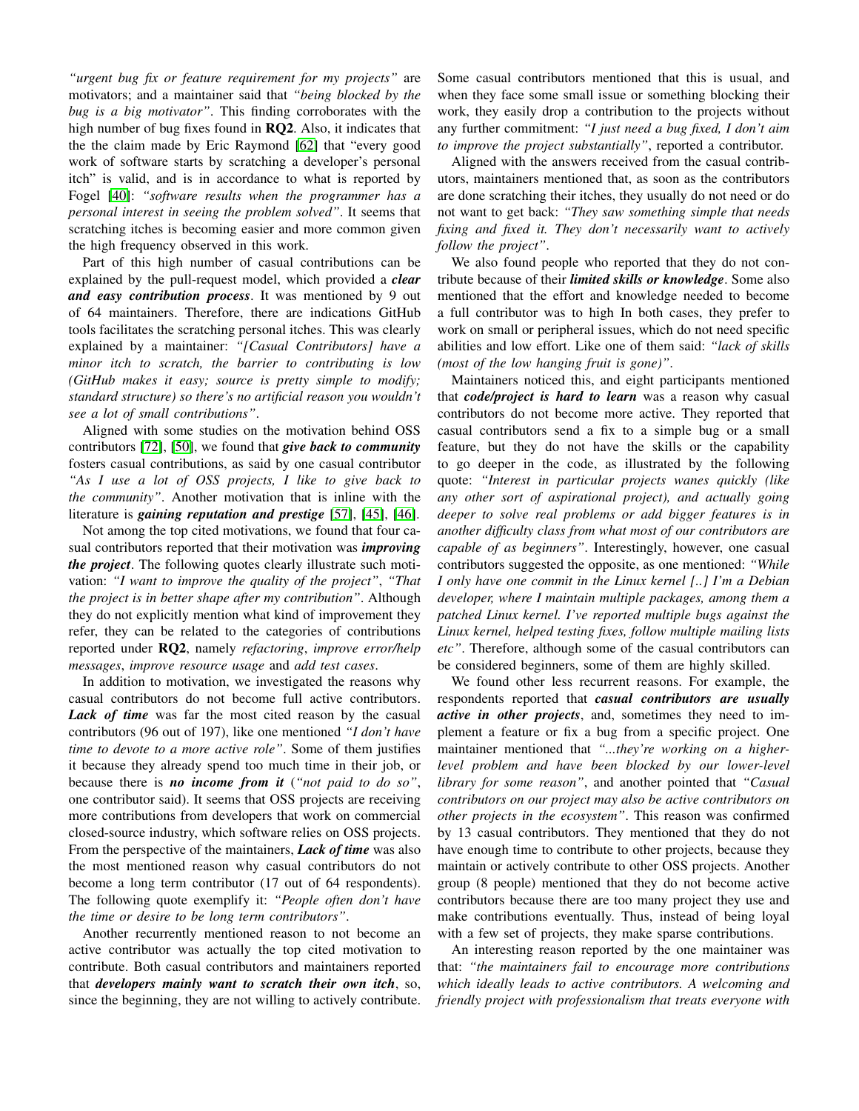*"urgent bug fix or feature requirement for my projects"* are motivators; and a maintainer said that *"being blocked by the bug is a big motivator"*. This finding corroborates with the high number of bug fixes found in **RQ2**. Also, it indicates that the the claim made by Eric Raymond [\[62\]](#page-11-13) that "every good work of software starts by scratching a developer's personal itch" is valid, and is in accordance to what is reported by Fogel [\[40\]](#page-10-45): *"software results when the programmer has a personal interest in seeing the problem solved"*. It seems that scratching itches is becoming easier and more common given the high frequency observed in this work.

Part of this high number of casual contributions can be explained by the pull-request model, which provided a *clear and easy contribution process*. It was mentioned by 9 out of 64 maintainers. Therefore, there are indications GitHub tools facilitates the scratching personal itches. This was clearly explained by a maintainer: *"[Casual Contributors] have a minor itch to scratch, the barrier to contributing is low (GitHub makes it easy; source is pretty simple to modify; standard structure) so there's no artificial reason you wouldn't see a lot of small contributions"*.

Aligned with some studies on the motivation behind OSS contributors [\[72\]](#page-11-14), [\[50\]](#page-10-46), we found that *give back to community* fosters casual contributions, as said by one casual contributor *"As I use a lot of OSS projects, I like to give back to the community"*. Another motivation that is inline with the literature is *gaining reputation and prestige* [\[57\]](#page-11-15), [\[45\]](#page-10-47), [\[46\]](#page-10-48).

Not among the top cited motivations, we found that four casual contributors reported that their motivation was *improving the project*. The following quotes clearly illustrate such motivation: *"I want to improve the quality of the project"*, *"That the project is in better shape after my contribution"*. Although they do not explicitly mention what kind of improvement they refer, they can be related to the categories of contributions reported under RQ2, namely *refactoring*, *improve error/help messages*, *improve resource usage* and *add test cases*.

In addition to motivation, we investigated the reasons why casual contributors do not become full active contributors. Lack of time was far the most cited reason by the casual contributors (96 out of 197), like one mentioned *"I don't have time to devote to a more active role"*. Some of them justifies it because they already spend too much time in their job, or because there is *no income from it* (*"not paid to do so"*, one contributor said). It seems that OSS projects are receiving more contributions from developers that work on commercial closed-source industry, which software relies on OSS projects. From the perspective of the maintainers, *Lack of time* was also the most mentioned reason why casual contributors do not become a long term contributor (17 out of 64 respondents). The following quote exemplify it: *"People often don't have the time or desire to be long term contributors"*.

Another recurrently mentioned reason to not become an active contributor was actually the top cited motivation to contribute. Both casual contributors and maintainers reported that *developers mainly want to scratch their own itch*, so, since the beginning, they are not willing to actively contribute. Some casual contributors mentioned that this is usual, and when they face some small issue or something blocking their work, they easily drop a contribution to the projects without any further commitment: *"I just need a bug fixed, I don't aim to improve the project substantially"*, reported a contributor.

Aligned with the answers received from the casual contributors, maintainers mentioned that, as soon as the contributors are done scratching their itches, they usually do not need or do not want to get back: *"They saw something simple that needs fixing and fixed it. They don't necessarily want to actively follow the project"*.

We also found people who reported that they do not contribute because of their *limited skills or knowledge*. Some also mentioned that the effort and knowledge needed to become a full contributor was to high In both cases, they prefer to work on small or peripheral issues, which do not need specific abilities and low effort. Like one of them said: *"lack of skills (most of the low hanging fruit is gone)"*.

Maintainers noticed this, and eight participants mentioned that *code/project is hard to learn* was a reason why casual contributors do not become more active. They reported that casual contributors send a fix to a simple bug or a small feature, but they do not have the skills or the capability to go deeper in the code, as illustrated by the following quote: *"Interest in particular projects wanes quickly (like any other sort of aspirational project), and actually going deeper to solve real problems or add bigger features is in another difficulty class from what most of our contributors are capable of as beginners"*. Interestingly, however, one casual contributors suggested the opposite, as one mentioned: *"While I only have one commit in the Linux kernel [..] I'm a Debian developer, where I maintain multiple packages, among them a patched Linux kernel. I've reported multiple bugs against the Linux kernel, helped testing fixes, follow multiple mailing lists etc"*. Therefore, although some of the casual contributors can be considered beginners, some of them are highly skilled.

We found other less recurrent reasons. For example, the respondents reported that *casual contributors are usually active in other projects*, and, sometimes they need to implement a feature or fix a bug from a specific project. One maintainer mentioned that *"...they're working on a higherlevel problem and have been blocked by our lower-level library for some reason"*, and another pointed that *"Casual contributors on our project may also be active contributors on other projects in the ecosystem"*. This reason was confirmed by 13 casual contributors. They mentioned that they do not have enough time to contribute to other projects, because they maintain or actively contribute to other OSS projects. Another group (8 people) mentioned that they do not become active contributors because there are too many project they use and make contributions eventually. Thus, instead of being loyal with a few set of projects, they make sparse contributions.

An interesting reason reported by the one maintainer was that: *"the maintainers fail to encourage more contributions which ideally leads to active contributors. A welcoming and friendly project with professionalism that treats everyone with*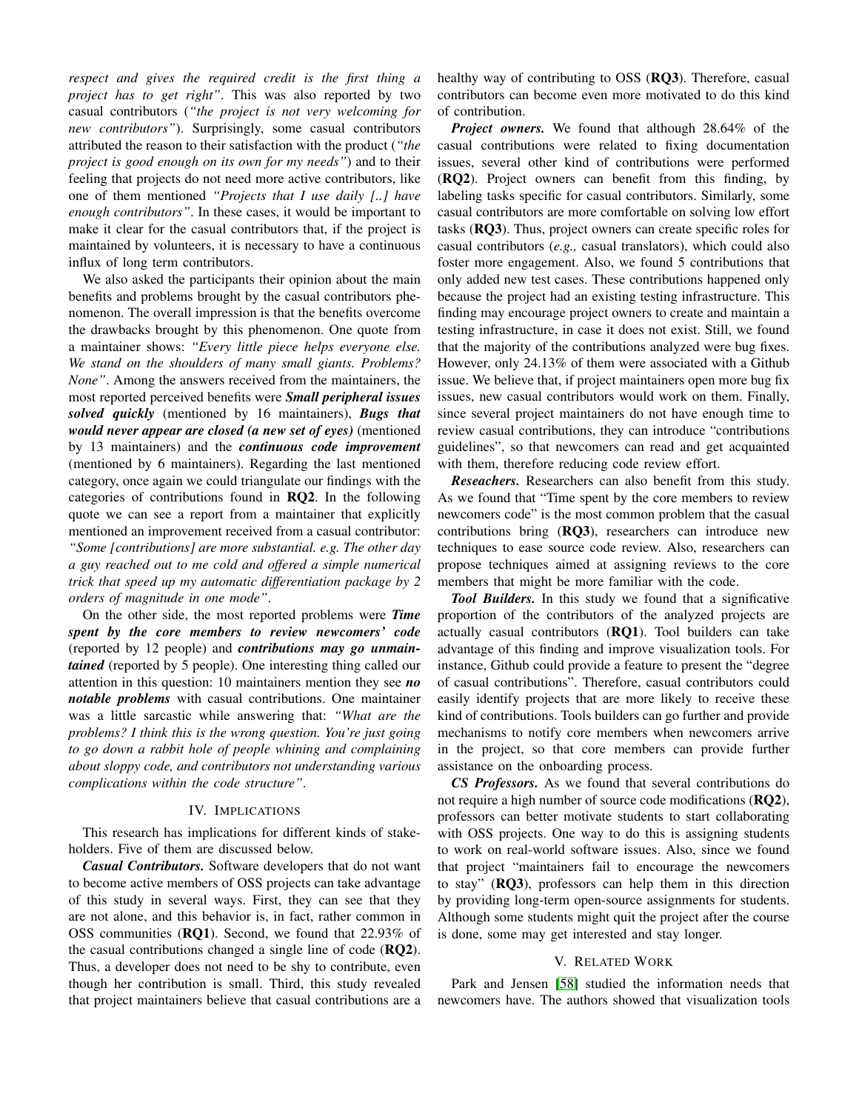*respect and gives the required credit is the first thing a project has to get right"*. This was also reported by two casual contributors (*"the project is not very welcoming for new contributors"*). Surprisingly, some casual contributors attributed the reason to their satisfaction with the product (*"the project is good enough on its own for my needs"*) and to their feeling that projects do not need more active contributors, like one of them mentioned *"Projects that I use daily [..] have enough contributors"*. In these cases, it would be important to make it clear for the casual contributors that, if the project is maintained by volunteers, it is necessary to have a continuous influx of long term contributors.

We also asked the participants their opinion about the main benefits and problems brought by the casual contributors phenomenon. The overall impression is that the benefits overcome the drawbacks brought by this phenomenon. One quote from a maintainer shows: *"Every little piece helps everyone else. We stand on the shoulders of many small giants. Problems? None"*. Among the answers received from the maintainers, the most reported perceived benefits were *Small peripheral issues solved quickly* (mentioned by 16 maintainers), *Bugs that would never appear are closed (a new set of eyes)* (mentioned by 13 maintainers) and the *continuous code improvement* (mentioned by 6 maintainers). Regarding the last mentioned category, once again we could triangulate our findings with the categories of contributions found in  $RQ2$ . In the following quote we can see a report from a maintainer that explicitly mentioned an improvement received from a casual contributor: *"Some [contributions] are more substantial. e.g. The other day a guy reached out to me cold and offered a simple numerical trick that speed up my automatic differentiation package by 2 orders of magnitude in one mode"*.

On the other side, the most reported problems were *Time spent by the core members to review newcomers' code* (reported by 12 people) and *contributions may go unmaintained* (reported by 5 people). One interesting thing called our attention in this question: 10 maintainers mention they see *no notable problems* with casual contributions. One maintainer was a little sarcastic while answering that: *"What are the problems? I think this is the wrong question. You're just going to go down a rabbit hole of people whining and complaining about sloppy code, and contributors not understanding various complications within the code structure"*.

## IV. IMPLICATIONS

<span id="page-8-0"></span>This research has implications for different kinds of stakeholders. Five of them are discussed below.

*Casual Contributors.* Software developers that do not want to become active members of OSS projects can take advantage of this study in several ways. First, they can see that they are not alone, and this behavior is, in fact, rather common in OSS communities (RQ1). Second, we found that 22.93% of the casual contributions changed a single line of code  $(RQ2)$ . Thus, a developer does not need to be shy to contribute, even though her contribution is small. Third, this study revealed that project maintainers believe that casual contributions are a healthy way of contributing to OSS (RQ3). Therefore, casual contributors can become even more motivated to do this kind of contribution.

*Project owners.* We found that although 28.64% of the casual contributions were related to fixing documentation issues, several other kind of contributions were performed (RQ2). Project owners can benefit from this finding, by labeling tasks specific for casual contributors. Similarly, some casual contributors are more comfortable on solving low effort tasks (RQ3). Thus, project owners can create specific roles for casual contributors (*e.g.,* casual translators), which could also foster more engagement. Also, we found 5 contributions that only added new test cases. These contributions happened only because the project had an existing testing infrastructure. This finding may encourage project owners to create and maintain a testing infrastructure, in case it does not exist. Still, we found that the majority of the contributions analyzed were bug fixes. However, only 24.13% of them were associated with a Github issue. We believe that, if project maintainers open more bug fix issues, new casual contributors would work on them. Finally, since several project maintainers do not have enough time to review casual contributions, they can introduce "contributions guidelines", so that newcomers can read and get acquainted with them, therefore reducing code review effort.

*Reseachers.* Researchers can also benefit from this study. As we found that "Time spent by the core members to review newcomers code" is the most common problem that the casual contributions bring (RQ3), researchers can introduce new techniques to ease source code review. Also, researchers can propose techniques aimed at assigning reviews to the core members that might be more familiar with the code.

*Tool Builders.* In this study we found that a significative proportion of the contributors of the analyzed projects are actually casual contributors  $(RQ1)$ . Tool builders can take advantage of this finding and improve visualization tools. For instance, Github could provide a feature to present the "degree of casual contributions". Therefore, casual contributors could easily identify projects that are more likely to receive these kind of contributions. Tools builders can go further and provide mechanisms to notify core members when newcomers arrive in the project, so that core members can provide further assistance on the onboarding process.

*CS Professors.* As we found that several contributions do not require a high number of source code modifications (RQ2), professors can better motivate students to start collaborating with OSS projects. One way to do this is assigning students to work on real-world software issues. Also, since we found that project "maintainers fail to encourage the newcomers to stay" (RQ3), professors can help them in this direction by providing long-term open-source assignments for students. Although some students might quit the project after the course is done, some may get interested and stay longer.

## V. RELATED WORK

Park and Jensen [\[58\]](#page-11-16) studied the information needs that newcomers have. The authors showed that visualization tools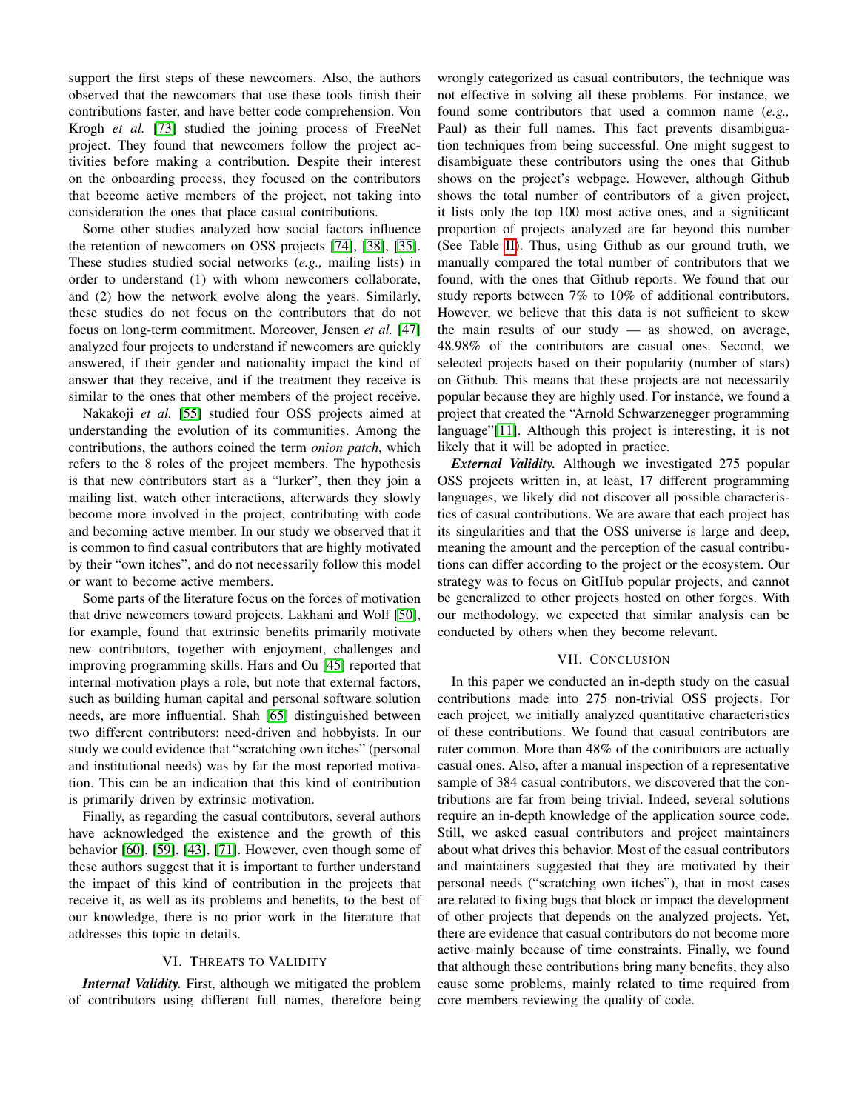support the first steps of these newcomers. Also, the authors observed that the newcomers that use these tools finish their contributions faster, and have better code comprehension. Von Krogh *et al.* [\[73\]](#page-11-17) studied the joining process of FreeNet project. They found that newcomers follow the project activities before making a contribution. Despite their interest on the onboarding process, they focused on the contributors that become active members of the project, not taking into consideration the ones that place casual contributions.

Some other studies analyzed how social factors influence the retention of newcomers on OSS projects [\[74\]](#page-11-18), [\[38\]](#page-10-49), [\[35\]](#page-10-50). These studies studied social networks (*e.g.,* mailing lists) in order to understand (1) with whom newcomers collaborate, and (2) how the network evolve along the years. Similarly, these studies do not focus on the contributors that do not focus on long-term commitment. Moreover, Jensen *et al.* [\[47\]](#page-10-51) analyzed four projects to understand if newcomers are quickly answered, if their gender and nationality impact the kind of answer that they receive, and if the treatment they receive is similar to the ones that other members of the project receive.

Nakakoji *et al.* [\[55\]](#page-11-19) studied four OSS projects aimed at understanding the evolution of its communities. Among the contributions, the authors coined the term *onion patch*, which refers to the 8 roles of the project members. The hypothesis is that new contributors start as a "lurker", then they join a mailing list, watch other interactions, afterwards they slowly become more involved in the project, contributing with code and becoming active member. In our study we observed that it is common to find casual contributors that are highly motivated by their "own itches", and do not necessarily follow this model or want to become active members.

Some parts of the literature focus on the forces of motivation that drive newcomers toward projects. Lakhani and Wolf [\[50\]](#page-10-46), for example, found that extrinsic benefits primarily motivate new contributors, together with enjoyment, challenges and improving programming skills. Hars and Ou [\[45\]](#page-10-47) reported that internal motivation plays a role, but note that external factors, such as building human capital and personal software solution needs, are more influential. Shah [\[65\]](#page-11-20) distinguished between two different contributors: need-driven and hobbyists. In our study we could evidence that "scratching own itches" (personal and institutional needs) was by far the most reported motivation. This can be an indication that this kind of contribution is primarily driven by extrinsic motivation.

Finally, as regarding the casual contributors, several authors have acknowledged the existence and the growth of this behavior [\[60\]](#page-11-6), [\[59\]](#page-11-1), [\[43\]](#page-10-0), [\[71\]](#page-11-7). However, even though some of these authors suggest that it is important to further understand the impact of this kind of contribution in the projects that receive it, as well as its problems and benefits, to the best of our knowledge, there is no prior work in the literature that addresses this topic in details.

# VI. THREATS TO VALIDITY

*Internal Validity.* First, although we mitigated the problem of contributors using different full names, therefore being wrongly categorized as casual contributors, the technique was not effective in solving all these problems. For instance, we found some contributors that used a common name (*e.g.,* Paul) as their full names. This fact prevents disambiguation techniques from being successful. One might suggest to disambiguate these contributors using the ones that Github shows on the project's webpage. However, although Github shows the total number of contributors of a given project, it lists only the top 100 most active ones, and a significant proportion of projects analyzed are far beyond this number (See Table [II\)](#page-2-2). Thus, using Github as our ground truth, we manually compared the total number of contributors that we found, with the ones that Github reports. We found that our study reports between 7% to 10% of additional contributors. However, we believe that this data is not sufficient to skew the main results of our study — as showed, on average, 48.98% of the contributors are casual ones. Second, we selected projects based on their popularity (number of stars) on Github. This means that these projects are not necessarily popular because they are highly used. For instance, we found a project that created the "Arnold Schwarzenegger programming language"[\[11\]](#page-10-52). Although this project is interesting, it is not likely that it will be adopted in practice.

*External Validity.* Although we investigated 275 popular OSS projects written in, at least, 17 different programming languages, we likely did not discover all possible characteristics of casual contributions. We are aware that each project has its singularities and that the OSS universe is large and deep, meaning the amount and the perception of the casual contributions can differ according to the project or the ecosystem. Our strategy was to focus on GitHub popular projects, and cannot be generalized to other projects hosted on other forges. With our methodology, we expected that similar analysis can be conducted by others when they become relevant.

### VII. CONCLUSION

In this paper we conducted an in-depth study on the casual contributions made into 275 non-trivial OSS projects. For each project, we initially analyzed quantitative characteristics of these contributions. We found that casual contributors are rater common. More than 48% of the contributors are actually casual ones. Also, after a manual inspection of a representative sample of 384 casual contributors, we discovered that the contributions are far from being trivial. Indeed, several solutions require an in-depth knowledge of the application source code. Still, we asked casual contributors and project maintainers about what drives this behavior. Most of the casual contributors and maintainers suggested that they are motivated by their personal needs ("scratching own itches"), that in most cases are related to fixing bugs that block or impact the development of other projects that depends on the analyzed projects. Yet, there are evidence that casual contributors do not become more active mainly because of time constraints. Finally, we found that although these contributions bring many benefits, they also cause some problems, mainly related to time required from core members reviewing the quality of code.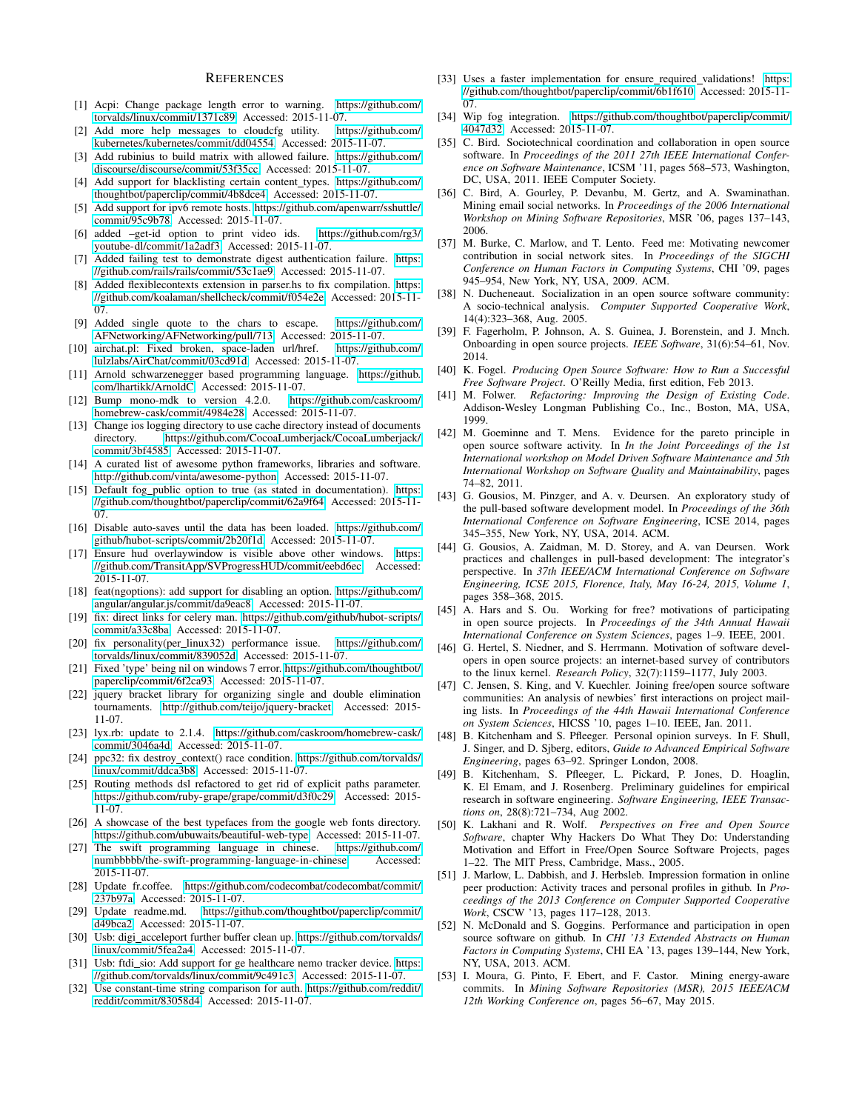#### **REFERENCES**

- <span id="page-10-37"></span>[1] Acpi: Change package length error to warning. [https://github.com/](https://github.com/torvalds/linux/commit/1371c89) [torvalds/linux/commit/1371c89.](https://github.com/torvalds/linux/commit/1371c89) Accessed: 2015-11-07.
- <span id="page-10-38"></span>[2] Add more help messages to cloudcfg utility. [https://github.com/](https://github.com/kubernetes/kubernetes/commit/dd04554) [kubernetes/kubernetes/commit/dd04554.](https://github.com/kubernetes/kubernetes/commit/dd04554) Accessed: 2015-11-07.
- <span id="page-10-34"></span>[3] Add rubinius to build matrix with allowed failure. [https://github.com/](https://github.com/discourse/discourse/commit/53f35cc) [discourse/discourse/commit/53f35cc.](https://github.com/discourse/discourse/commit/53f35cc) Accessed: 2015-11-07.
- <span id="page-10-16"></span>[4] Add support for blacklisting certain content\_types. [https://github.com/](https://github.com/thoughtbot/paperclip/commit/4b8dce4) [thoughtbot/paperclip/commit/4b8dce4.](https://github.com/thoughtbot/paperclip/commit/4b8dce4) Accessed: 2015-11-07.
- <span id="page-10-29"></span>[5] Add support for ipv6 remote hosts. [https://github.com/apenwarr/sshuttle/](https://github.com/apenwarr/sshuttle/commit/95c9b78) [commit/95c9b78.](https://github.com/apenwarr/sshuttle/commit/95c9b78) Accessed: 2015-11-07.
- <span id="page-10-27"></span>[6] added –get-id option to print video ids. [https://github.com/rg3/](https://github.com/rg3/youtube-dl/commit/1a2adf3) [youtube-dl/commit/1a2adf3.](https://github.com/rg3/youtube-dl/commit/1a2adf3) Accessed: 2015-11-07.
- <span id="page-10-44"></span>[7] Added failing test to demonstrate digest authentication failure. [https:](https://github.com/rails/rails/commit/53c1ae9) [//github.com/rails/rails/commit/53c1ae9.](https://github.com/rails/rails/commit/53c1ae9) Accessed: 2015-11-07.
- <span id="page-10-22"></span>[8] Added flexiblecontexts extension in parser.hs to fix compilation. [https:](https://github.com/koalaman/shellcheck/commit/f054e2e) [//github.com/koalaman/shellcheck/commit/f054e2e.](https://github.com/koalaman/shellcheck/commit/f054e2e) Accessed: 2015-11- 07.
- <span id="page-10-25"></span>[9] Added single quote to the chars to escape. [https://github.com/](https://github.com/AFNetworking/AFNetworking/pull/713) [AFNetworking/AFNetworking/pull/713.](https://github.com/AFNetworking/AFNetworking/pull/713) Accessed: 2015-11-07.
- <span id="page-10-23"></span>[10] airchat.pl: Fixed broken, space-laden url/href. [https://github.com/](https://github.com/lulzlabs/AirChat/commit/03cd91d) [lulzlabs/AirChat/commit/03cd91d.](https://github.com/lulzlabs/AirChat/commit/03cd91d) Accessed: 2015-11-07.
- <span id="page-10-52"></span>[11] Arnold schwarzenegger based programming language. [https://github.](https://github.com/lhartikk/ArnoldC) [com/lhartikk/ArnoldC.](https://github.com/lhartikk/ArnoldC) Accessed: 2015-11-07.
- <span id="page-10-35"></span>[12] Bump mono-mdk to version 4.2.0. [https://github.com/caskroom/](https://github.com/caskroom/homebrew-cask/commit/4984e28) [homebrew-cask/commit/4984e28.](https://github.com/caskroom/homebrew-cask/commit/4984e28) Accessed: 2015-11-07.
- <span id="page-10-41"></span>[13] Change ios logging directory to use cache directory instead of documents directory. [https://github.com/CocoaLumberjack/CocoaLumberjack/](https://github.com/CocoaLumberjack/CocoaLumberjack/commit/3bf4585) [commit/3bf4585.](https://github.com/CocoaLumberjack/CocoaLumberjack/commit/3bf4585) Accessed: 2015-11-07.
- <span id="page-10-10"></span>[14] A curated list of awesome python frameworks, libraries and software. [http://github.com/vinta/awesome-python.](http://github.com/vinta/awesome-python) Accessed: 2015-11-07.
- <span id="page-10-19"></span>[15] Default fog public option to true (as stated in documentation). [https:](https://github.com/thoughtbot/paperclip/commit/62a9f64) [//github.com/thoughtbot/paperclip/commit/62a9f64.](https://github.com/thoughtbot/paperclip/commit/62a9f64) Accessed: 2015-11- 07.
- <span id="page-10-40"></span>[16] Disable auto-saves until the data has been loaded. [https://github.com/](https://github.com/github/hubot-scripts/commit/2b20f1d) [github/hubot-scripts/commit/2b20f1d.](https://github.com/github/hubot-scripts/commit/2b20f1d) Accessed: 2015-11-07.
- <span id="page-10-21"></span>[17] Ensure hud overlaywindow is visible above other windows. [https:](https://github.com/TransitApp/SVProgressHUD/commit/eebd6ec) [//github.com/TransitApp/SVProgressHUD/commit/eebd6ec.](https://github.com/TransitApp/SVProgressHUD/commit/eebd6ec) Accessed: 2015-11-07.
- <span id="page-10-28"></span>[18] feat(ngoptions): add support for disabling an option. [https://github.com/](https://github.com/angular/angular.js/commit/da9eac8) [angular/angular.js/commit/da9eac8.](https://github.com/angular/angular.js/commit/da9eac8) Accessed: 2015-11-07.
- <span id="page-10-42"></span>[19] fix: direct links for celery man. [https://github.com/github/hubot-scripts/](https://github.com/github/hubot-scripts/commit/a33c8ba) [commit/a33c8ba.](https://github.com/github/hubot-scripts/commit/a33c8ba) Accessed: 2015-11-07.
- <span id="page-10-43"></span>[20] fix personality(per linux32) performance issue. [https://github.com/](https://github.com/torvalds/linux/commit/839052d) [torvalds/linux/commit/839052d.](https://github.com/torvalds/linux/commit/839052d) Accessed: 2015-11-07.
- <span id="page-10-17"></span>[21] Fixed 'type' being nil on windows 7 error. [https://github.com/thoughtbot/](https://github.com/thoughtbot/paperclip/commit/6f2ca93) [paperclip/commit/6f2ca93.](https://github.com/thoughtbot/paperclip/commit/6f2ca93) Accessed: 2015-11-07.
- <span id="page-10-11"></span>[22] jquery bracket library for organizing single and double elimination tournaments. [http://github.com/teijo/jquery-bracket.](http://github.com/teijo/jquery-bracket) Accessed: 2015- 11-07.
- <span id="page-10-36"></span>[23] lyx.rb: update to 2.1.4. [https://github.com/caskroom/homebrew-cask/](https://github.com/caskroom/homebrew-cask/commit/3046a4d) [commit/3046a4d.](https://github.com/caskroom/homebrew-cask/commit/3046a4d) Accessed: 2015-11-07.
- <span id="page-10-24"></span>[24] ppc32: fix destroy\_context() race condition. [https://github.com/torvalds/](https://github.com/torvalds/linux/commit/ddca3b8) [linux/commit/ddca3b8.](https://github.com/torvalds/linux/commit/ddca3b8) Accessed: 2015-11-07.
- <span id="page-10-33"></span>[25] Routing methods dsl refactored to get rid of explicit paths parameter. [https://github.com/ruby-grape/grape/commit/d3f0c29.](https://github.com/ruby-grape/grape/commit/d3f0c29) Accessed: 2015- 11-07.
- <span id="page-10-8"></span>[26] A showcase of the best typefaces from the google web fonts directory. [https://github.com/ubuwaits/beautiful-web-type.](https://github.com/ubuwaits/beautiful-web-type) Accessed: 2015-11-07.
- <span id="page-10-9"></span>[27] The swift programming language in chinese. [https://github.com/](https://github.com/numbbbbb/the-swift-programming-language-in-chinese) [numbbbbb/the-swift-programming-language-in-chinese.](https://github.com/numbbbbb/the-swift-programming-language-in-chinese) Accessed: 2015-11-07.
- <span id="page-10-26"></span>[28] Update fr.coffee. [https://github.com/codecombat/codecombat/commit/](https://github.com/codecombat/codecombat/commit/237b97a) [237b97a.](https://github.com/codecombat/codecombat/commit/237b97a) Accessed: 2015-11-07.
- <span id="page-10-18"></span>[29] Update readme.md. [https://github.com/thoughtbot/paperclip/commit/](https://github.com/thoughtbot/paperclip/commit/d49bca2) [d49bca2.](https://github.com/thoughtbot/paperclip/commit/d49bca2) Accessed: 2015-11-07.
- <span id="page-10-32"></span>[30] Usb: digi\_acceleport further buffer clean up. [https://github.com/torvalds/](https://github.com/torvalds/linux/commit/5fea2a4) [linux/commit/5fea2a4.](https://github.com/torvalds/linux/commit/5fea2a4) Accessed: 2015-11-07.
- <span id="page-10-30"></span>[31] Usb: ftdi\_sio: Add support for ge healthcare nemo tracker device. [https:](https://github.com/torvalds/linux/commit/9c491c3) [//github.com/torvalds/linux/commit/9c491c3.](https://github.com/torvalds/linux/commit/9c491c3) Accessed: 2015-11-07.
- <span id="page-10-39"></span>[32] Use constant-time string comparison for auth. [https://github.com/reddit/](https://github.com/reddit/reddit/commit/83058d4) [reddit/commit/83058d4.](https://github.com/reddit/reddit/commit/83058d4) Accessed: 2015-11-07.
- <span id="page-10-20"></span>[33] Uses a faster implementation for ensure\_required\_validations! [https:](https://github.com/thoughtbot/paperclip/commit/6b1f610) [//github.com/thoughtbot/paperclip/commit/6b1f610.](https://github.com/thoughtbot/paperclip/commit/6b1f610) Accessed: 2015-11- 07.
- <span id="page-10-15"></span>[34] Wip fog integration. [https://github.com/thoughtbot/paperclip/commit/](https://github.com/thoughtbot/paperclip/commit/4047d32) [4047d32.](https://github.com/thoughtbot/paperclip/commit/4047d32) Accessed: 2015-11-07.
- <span id="page-10-50"></span>[35] C. Bird. Sociotechnical coordination and collaboration in open source software. In *Proceedings of the 2011 27th IEEE International Conference on Software Maintenance*, ICSM '11, pages 568–573, Washington, DC, USA, 2011. IEEE Computer Society.
- <span id="page-10-12"></span>[36] C. Bird, A. Gourley, P. Devanbu, M. Gertz, and A. Swaminathan. Mining email social networks. In *Proceedings of the 2006 International Workshop on Mining Software Repositories*, MSR '06, pages 137–143, 2006.
- <span id="page-10-2"></span>[37] M. Burke, C. Marlow, and T. Lento. Feed me: Motivating newcomer contribution in social network sites. In *Proceedings of the SIGCHI Conference on Human Factors in Computing Systems*, CHI '09, pages 945–954, New York, NY, USA, 2009. ACM.
- <span id="page-10-49"></span>[38] N. Ducheneaut. Socialization in an open source software community: A socio-technical analysis. *Computer Supported Cooperative Work*, 14(4):323–368, Aug. 2005.
- <span id="page-10-3"></span>[39] F. Fagerholm, P. Johnson, A. S. Guinea, J. Borenstein, and J. Mnch. Onboarding in open source projects. *IEEE Software*, 31(6):54–61, Nov. 2014.
- <span id="page-10-45"></span>[40] K. Fogel. *Producing Open Source Software: How to Run a Successful Free Software Project*. O'Reilly Media, first edition, Feb 2013.
- <span id="page-10-31"></span>[41] M. Folwer. *Refactoring: Improving the Design of Existing Code*. Addison-Wesley Longman Publishing Co., Inc., Boston, MA, USA, 1999.
- <span id="page-10-4"></span>[42] M. Goeminne and T. Mens. Evidence for the pareto principle in open source software activity. In *In the Joint Porceedings of the 1st International workshop on Model Driven Software Maintenance and 5th International Workshop on Software Quality and Maintainability*, pages 74–82, 2011.
- <span id="page-10-0"></span>[43] G. Gousios, M. Pinzger, and A. v. Deursen. An exploratory study of the pull-based software development model. In *Proceedings of the 36th International Conference on Software Engineering*, ICSE 2014, pages 345–355, New York, NY, USA, 2014. ACM.
- <span id="page-10-1"></span>[44] G. Gousios, A. Zaidman, M. D. Storey, and A. van Deursen. Work practices and challenges in pull-based development: The integrator's perspective. In *37th IEEE/ACM International Conference on Software Engineering, ICSE 2015, Florence, Italy, May 16-24, 2015, Volume 1*, pages 358–368, 2015.
- <span id="page-10-47"></span>[45] A. Hars and S. Ou. Working for free? motivations of participating in open source projects. In *Proceedings of the 34th Annual Hawaii International Conference on System Sciences*, pages 1–9. IEEE, 2001.
- <span id="page-10-48"></span>[46] G. Hertel, S. Niedner, and S. Herrmann. Motivation of software developers in open source projects: an internet-based survey of contributors to the linux kernel. *Research Policy*, 32(7):1159–1177, July 2003.
- <span id="page-10-51"></span>[47] C. Jensen, S. King, and V. Kuechler. Joining free/open source software communities: An analysis of newbies' first interactions on project mailing lists. In *Proceedings of the 44th Hawaii International Conference on System Sciences*, HICSS '10, pages 1–10. IEEE, Jan. 2011.
- <span id="page-10-14"></span>[48] B. Kitchenham and S. Pfleeger. Personal opinion surveys. In F. Shull, J. Singer, and D. Sjberg, editors, *Guide to Advanced Empirical Software Engineering*, pages 63–92. Springer London, 2008.
- <span id="page-10-13"></span>[49] B. Kitchenham, S. Pfleeger, L. Pickard, P. Jones, D. Hoaglin, K. El Emam, and J. Rosenberg. Preliminary guidelines for empirical research in software engineering. *Software Engineering, IEEE Transactions on*, 28(8):721–734, Aug 2002.
- <span id="page-10-46"></span>[50] K. Lakhani and R. Wolf. *Perspectives on Free and Open Source Software*, chapter Why Hackers Do What They Do: Understanding Motivation and Effort in Free/Open Source Software Projects, pages 1–22. The MIT Press, Cambridge, Mass., 2005.
- <span id="page-10-5"></span>[51] J. Marlow, L. Dabbish, and J. Herbsleb. Impression formation in online peer production: Activity traces and personal profiles in github. In *Proceedings of the 2013 Conference on Computer Supported Cooperative Work*, CSCW '13, pages 117–128, 2013.
- <span id="page-10-6"></span>[52] N. McDonald and S. Goggins. Performance and participation in open source software on github. In *CHI '13 Extended Abstracts on Human Factors in Computing Systems*, CHI EA '13, pages 139–144, New York, NY, USA, 2013. ACM.
- <span id="page-10-7"></span>[53] I. Moura, G. Pinto, F. Ebert, and F. Castor. Mining energy-aware commits. In *Mining Software Repositories (MSR), 2015 IEEE/ACM 12th Working Conference on*, pages 56–67, May 2015.